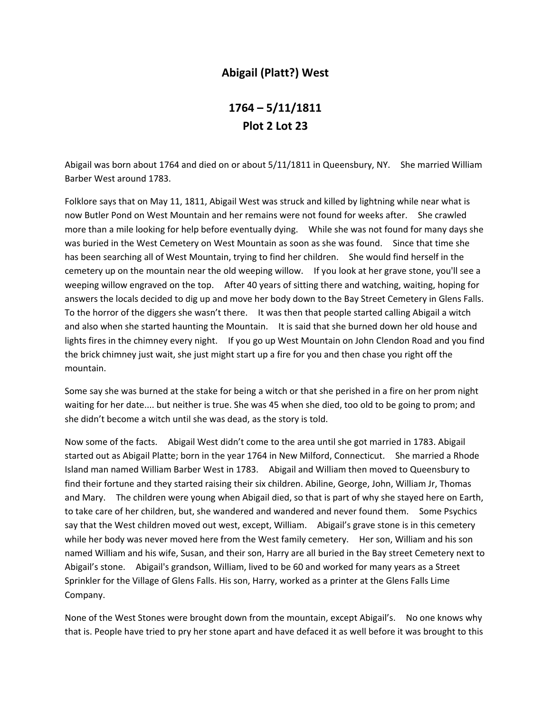## **Abigail (Platt?) West**

## **1764 – 5/11/1811 Plot 2 Lot 23**

Abigail was born about 1764 and died on or about 5/11/1811 in Queensbury, NY. She married William Barber West around 1783.

Folklore says that on May 11, 1811, Abigail West was struck and killed by lightning while near what is now Butler Pond on West Mountain and her remains were not found for weeks after. She crawled more than a mile looking for help before eventually dying. While she was not found for many days she was buried in the West Cemetery on West Mountain as soon as she was found. Since that time she has been searching all of West Mountain, trying to find her children. She would find herself in the cemetery up on the mountain near the old weeping willow. If you look at her grave stone, you'll see a weeping willow engraved on the top. After 40 years of sitting there and watching, waiting, hoping for answers the locals decided to dig up and move her body down to the Bay Street Cemetery in Glens Falls. To the horror of the diggers she wasn't there. It was then that people started calling Abigail a witch and also when she started haunting the Mountain. It is said that she burned down her old house and lights fires in the chimney every night. If you go up West Mountain on John Clendon Road and you find the brick chimney just wait, she just might start up a fire for you and then chase you right off the mountain.

Some say she was burned at the stake for being a witch or that she perished in a fire on her prom night waiting for her date.... but neither is true. She was 45 when she died, too old to be going to prom; and she didn't become a witch until she was dead, as the story is told.

Now some of the facts. Abigail West didn't come to the area until she got married in 1783. Abigail started out as Abigail Platte; born in the year 1764 in New Milford, Connecticut. She married a Rhode Island man named William Barber West in 1783. Abigail and William then moved to Queensbury to find their fortune and they started raising their six children. Abiline, George, John, William Jr, Thomas and Mary. The children were young when Abigail died, so that is part of why she stayed here on Earth, to take care of her children, but, she wandered and wandered and never found them. Some Psychics say that the West children moved out west, except, William. Abigail's grave stone is in this cemetery while her body was never moved here from the West family cemetery. Her son, William and his son named William and his wife, Susan, and their son, Harry are all buried in the Bay street Cemetery next to Abigail's stone. Abigail's grandson, William, lived to be 60 and worked for many years as a Street Sprinkler for the Village of Glens Falls. His son, Harry, worked as a printer at the Glens Falls Lime Company.

None of the West Stones were brought down from the mountain, except Abigail's. No one knows why that is. People have tried to pry her stone apart and have defaced it as well before it was brought to this